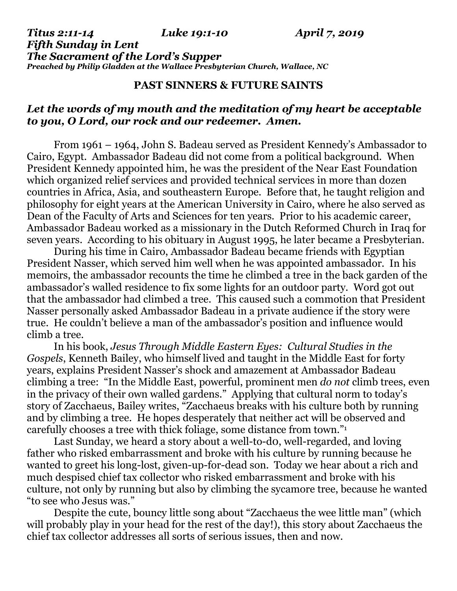*Titus 2:11-14 Luke 19:1-10 April 7, 2019 Fifth Sunday in Lent The Sacrament of the Lord's Supper Preached by Philip Gladden at the Wallace Presbyterian Church, Wallace, NC*

## **PAST SINNERS & FUTURE SAINTS**

## *Let the words of my mouth and the meditation of my heart be acceptable to you, O Lord, our rock and our redeemer. Amen.*

From 1961 – 1964, John S. Badeau served as President Kennedy's Ambassador to Cairo, Egypt. Ambassador Badeau did not come from a political background. When President Kennedy appointed him, he was the president of the Near East Foundation which organized relief services and provided technical services in more than dozen countries in Africa, Asia, and southeastern Europe. Before that, he taught religion and philosophy for eight years at the American University in Cairo, where he also served as Dean of the Faculty of Arts and Sciences for ten years. Prior to his academic career, Ambassador Badeau worked as a missionary in the Dutch Reformed Church in Iraq for seven years. According to his obituary in August 1995, he later became a Presbyterian.

During his time in Cairo, Ambassador Badeau became friends with Egyptian President Nasser, which served him well when he was appointed ambassador. In his memoirs, the ambassador recounts the time he climbed a tree in the back garden of the ambassador's walled residence to fix some lights for an outdoor party. Word got out that the ambassador had climbed a tree. This caused such a commotion that President Nasser personally asked Ambassador Badeau in a private audience if the story were true. He couldn't believe a man of the ambassador's position and influence would climb a tree.

In his book, *Jesus Through Middle Eastern Eyes: Cultural Studies in the Gospels*, Kenneth Bailey, who himself lived and taught in the Middle East for forty years, explains President Nasser's shock and amazement at Ambassador Badeau climbing a tree: "In the Middle East, powerful, prominent men *do not* climb trees, even in the privacy of their own walled gardens." Applying that cultural norm to today's story of Zacchaeus, Bailey writes, "Zacchaeus breaks with his culture both by running and by climbing a tree. He hopes desperately that neither act will be observed and carefully chooses a tree with thick foliage, some distance from town."<sup>1</sup>

Last Sunday, we heard a story about a well-to-d0, well-regarded, and loving father who risked embarrassment and broke with his culture by running because he wanted to greet his long-lost, given-up-for-dead son. Today we hear about a rich and much despised chief tax collector who risked embarrassment and broke with his culture, not only by running but also by climbing the sycamore tree, because he wanted "to see who Jesus was."

Despite the cute, bouncy little song about "Zacchaeus the wee little man" (which will probably play in your head for the rest of the day!), this story about Zacchaeus the chief tax collector addresses all sorts of serious issues, then and now.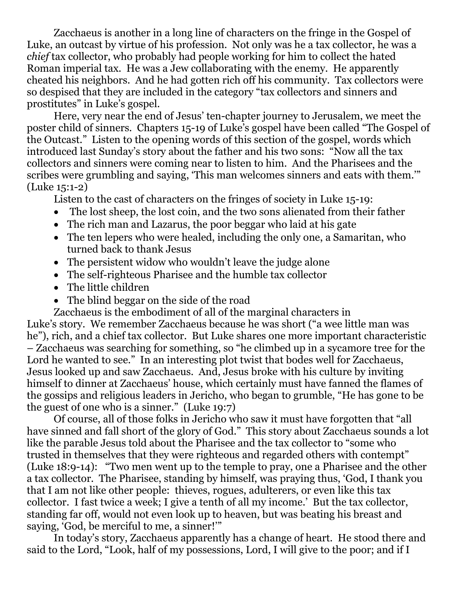Zacchaeus is another in a long line of characters on the fringe in the Gospel of Luke, an outcast by virtue of his profession. Not only was he a tax collector, he was a *chief* tax collector, who probably had people working for him to collect the hated Roman imperial tax. He was a Jew collaborating with the enemy. He apparently cheated his neighbors. And he had gotten rich off his community. Tax collectors were so despised that they are included in the category "tax collectors and sinners and prostitutes" in Luke's gospel.

Here, very near the end of Jesus' ten-chapter journey to Jerusalem, we meet the poster child of sinners. Chapters 15-19 of Luke's gospel have been called "The Gospel of the Outcast." Listen to the opening words of this section of the gospel, words which introduced last Sunday's story about the father and his two sons: "Now all the tax collectors and sinners were coming near to listen to him. And the Pharisees and the scribes were grumbling and saying, 'This man welcomes sinners and eats with them.'" (Luke 15:1-2)

Listen to the cast of characters on the fringes of society in Luke 15-19:

- The lost sheep, the lost coin, and the two sons alienated from their father
- The rich man and Lazarus, the poor beggar who laid at his gate
- The ten lepers who were healed, including the only one, a Samaritan, who turned back to thank Jesus
- The persistent widow who wouldn't leave the judge alone
- The self-righteous Pharisee and the humble tax collector
- The little children
- The blind beggar on the side of the road

Zacchaeus is the embodiment of all of the marginal characters in

Luke's story. We remember Zacchaeus because he was short ("a wee little man was he"), rich, and a chief tax collector. But Luke shares one more important characteristic – Zacchaeus was searching for something, so "he climbed up in a sycamore tree for the Lord he wanted to see." In an interesting plot twist that bodes well for Zacchaeus, Jesus looked up and saw Zacchaeus. And, Jesus broke with his culture by inviting himself to dinner at Zacchaeus' house, which certainly must have fanned the flames of the gossips and religious leaders in Jericho, who began to grumble, "He has gone to be the guest of one who is a sinner." (Luke 19:7)

Of course, all of those folks in Jericho who saw it must have forgotten that "all have sinned and fall short of the glory of God." This story about Zacchaeus sounds a lot like the parable Jesus told about the Pharisee and the tax collector to "some who trusted in themselves that they were righteous and regarded others with contempt" (Luke 18:9-14): "Two men went up to the temple to pray, one a Pharisee and the other a tax collector. The Pharisee, standing by himself, was praying thus, 'God, I thank you that I am not like other people: thieves, rogues, adulterers, or even like this tax collector. I fast twice a week; I give a tenth of all my income.' But the tax collector, standing far off, would not even look up to heaven, but was beating his breast and saying, 'God, be merciful to me, a sinner!'"

In today's story, Zacchaeus apparently has a change of heart. He stood there and said to the Lord, "Look, half of my possessions, Lord, I will give to the poor; and if I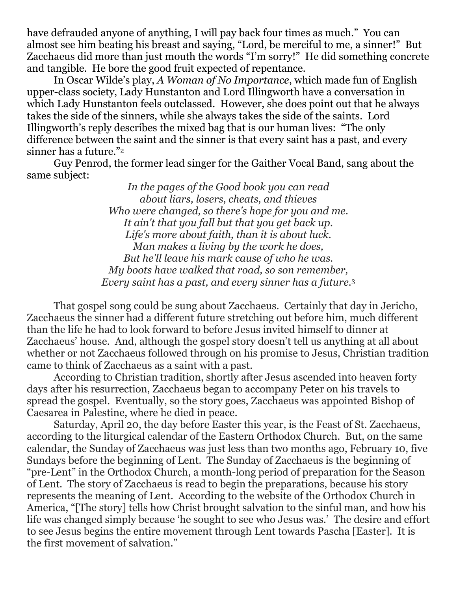have defrauded anyone of anything, I will pay back four times as much." You can almost see him beating his breast and saying, "Lord, be merciful to me, a sinner!" But Zacchaeus did more than just mouth the words "I'm sorry!" He did something concrete and tangible. He bore the good fruit expected of repentance.

In Oscar Wilde's play, *A Woman of No Importance*, which made fun of English upper-class society, Lady Hunstanton and Lord Illingworth have a conversation in which Lady Hunstanton feels outclassed. However, she does point out that he always takes the side of the sinners, while she always takes the side of the saints. Lord Illingworth's reply describes the mixed bag that is our human lives: "The only difference between the saint and the sinner is that every saint has a past, and every sinner has a future."<sup>2</sup>

Guy Penrod, the former lead singer for the Gaither Vocal Band, sang about the same subject:

> *In the pages of the Good book you can read about liars, losers, cheats, and thieves Who were changed, so there's hope for you and me. It ain't that you fall but that you get back up. Life's more about faith, than it is about luck. Man makes a living by the work he does, But he'll leave his mark cause of who he was. My boots have walked that road, so son remember, Every saint has a past, and every sinner has a future.*<sup>3</sup>

That gospel song could be sung about Zacchaeus. Certainly that day in Jericho, Zacchaeus the sinner had a different future stretching out before him, much different than the life he had to look forward to before Jesus invited himself to dinner at Zacchaeus' house. And, although the gospel story doesn't tell us anything at all about whether or not Zacchaeus followed through on his promise to Jesus, Christian tradition came to think of Zacchaeus as a saint with a past.

According to Christian tradition, shortly after Jesus ascended into heaven forty days after his resurrection, Zacchaeus began to accompany Peter on his travels to spread the gospel. Eventually, so the story goes, Zacchaeus was appointed Bishop of Caesarea in Palestine, where he died in peace.

Saturday, April 20, the day before Easter this year, is the Feast of St. Zacchaeus, according to the liturgical calendar of the Eastern Orthodox Church. But, on the same calendar, the Sunday of Zacchaeus was just less than two months ago, February 10, five Sundays before the beginning of Lent. The Sunday of Zacchaeus is the beginning of "pre-Lent" in the Orthodox Church, a month-long period of preparation for the Season of Lent. The story of Zacchaeus is read to begin the preparations, because his story represents the meaning of Lent. According to the website of the Orthodox Church in America, "[The story] tells how Christ brought salvation to the sinful man, and how his life was changed simply because 'he sought to see who Jesus was.' The desire and effort to see Jesus begins the entire movement through Lent towards Pascha [Easter]. It is the first movement of salvation."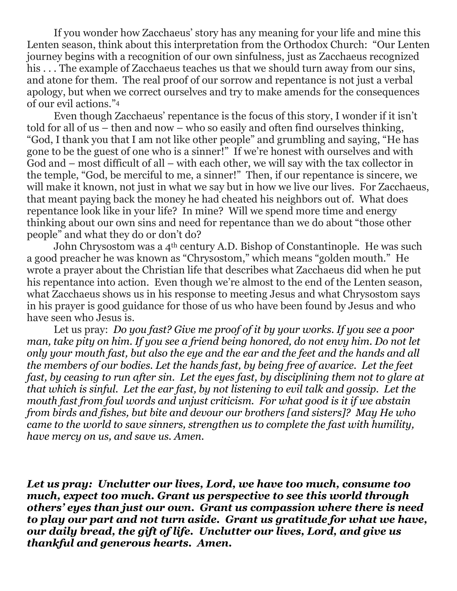If you wonder how Zacchaeus' story has any meaning for your life and mine this Lenten season, think about this interpretation from the Orthodox Church: "Our Lenten journey begins with a recognition of our own sinfulness, just as Zacchaeus recognized his ... The example of Zacchaeus teaches us that we should turn away from our sins, and atone for them. The real proof of our sorrow and repentance is not just a verbal apology, but when we correct ourselves and try to make amends for the consequences of our evil actions."<sup>4</sup>

Even though Zacchaeus' repentance is the focus of this story, I wonder if it isn't told for all of us – then and now – who so easily and often find ourselves thinking, "God, I thank you that I am not like other people" and grumbling and saying, "He has gone to be the guest of one who is a sinner!" If we're honest with ourselves and with God and – most difficult of all – with each other, we will say with the tax collector in the temple, "God, be merciful to me, a sinner!" Then, if our repentance is sincere, we will make it known, not just in what we say but in how we live our lives. For Zacchaeus, that meant paying back the money he had cheated his neighbors out of. What does repentance look like in your life? In mine? Will we spend more time and energy thinking about our own sins and need for repentance than we do about "those other people" and what they do or don't do?

John Chrysostom was a 4<sup>th</sup> century A.D. Bishop of Constantinople. He was such a good preacher he was known as "Chrysostom," which means "golden mouth." He wrote a prayer about the Christian life that describes what Zacchaeus did when he put his repentance into action. Even though we're almost to the end of the Lenten season, what Zacchaeus shows us in his response to meeting Jesus and what Chrysostom says in his prayer is good guidance for those of us who have been found by Jesus and who have seen who Jesus is.

Let us pray: *Do you fast? Give me proof of it by your works. If you see a poor man, take pity on him. If you see a friend being honored, do not envy him. Do not let only your mouth fast, but also the eye and the ear and the feet and the hands and all the members of our bodies. Let the hands fast, by being free of avarice. Let the feet fast, by ceasing to run after sin. Let the eyes fast, by disciplining them not to glare at that which is sinful. Let the ear fast, by not listening to evil talk and gossip. Let the mouth fast from foul words and unjust criticism. For what good is it if we abstain from birds and fishes, but bite and devour our brothers [and sisters]? May He who came to the world to save sinners, strengthen us to complete the fast with humility, have mercy on us, and save us. Amen.*

*Let us pray: Unclutter our lives, Lord, we have too much, consume too much, expect too much. Grant us perspective to see this world through others' eyes than just our own. Grant us compassion where there is need to play our part and not turn aside. Grant us gratitude for what we have, our daily bread, the gift of life. Unclutter our lives, Lord, and give us thankful and generous hearts. Amen.*